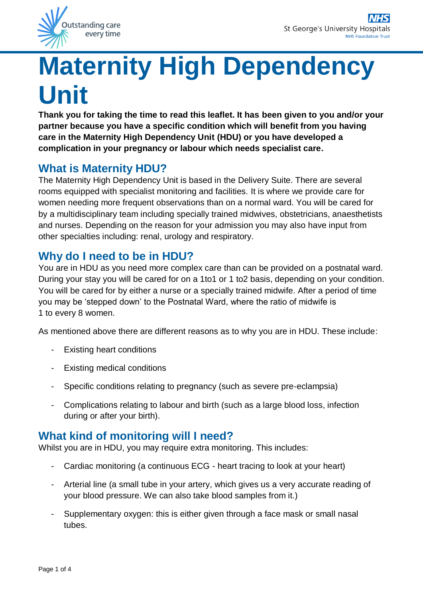

# **Maternity High Dependency Unit**

**Thank you for taking the time to read this leaflet. It has been given to you and/or your partner because you have a specific condition which will benefit from you having care in the Maternity High Dependency Unit (HDU) or you have developed a complication in your pregnancy or labour which needs specialist care.**

# **What is Maternity HDU?**

The Maternity High Dependency Unit is based in the Delivery Suite. There are several rooms equipped with specialist monitoring and facilities. It is where we provide care for women needing more frequent observations than on a normal ward. You will be cared for by a multidisciplinary team including specially trained midwives, obstetricians, anaesthetists and nurses. Depending on the reason for your admission you may also have input from other specialties including: renal, urology and respiratory.

# **Why do I need to be in HDU?**

You are in HDU as you need more complex care than can be provided on a postnatal ward. During your stay you will be cared for on a 1to1 or 1 to2 basis, depending on your condition. You will be cared for by either a nurse or a specially trained midwife. After a period of time you may be 'stepped down' to the Postnatal Ward, where the ratio of midwife is 1 to every 8 women.

As mentioned above there are different reasons as to why you are in HDU. These include:

- **Existing heart conditions**
- Existing medical conditions
- Specific conditions relating to pregnancy (such as severe pre-eclampsia)
- Complications relating to labour and birth (such as a large blood loss, infection during or after your birth).

# **What kind of monitoring will I need?**

Whilst you are in HDU, you may require extra monitoring. This includes:

- Cardiac monitoring (a continuous ECG heart tracing to look at your heart)
- Arterial line (a small tube in your artery, which gives us a very accurate reading of your blood pressure. We can also take blood samples from it.)
- Supplementary oxygen: this is either given through a face mask or small nasal tubes.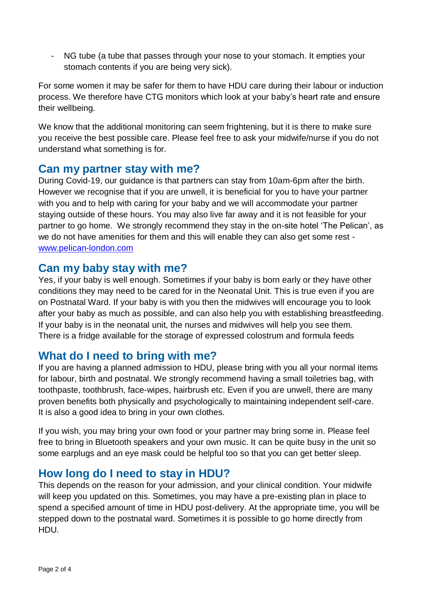- NG tube (a tube that passes through your nose to your stomach. It empties your stomach contents if you are being very sick).

For some women it may be safer for them to have HDU care during their labour or induction process. We therefore have CTG monitors which look at your baby's heart rate and ensure their wellbeing.

We know that the additional monitoring can seem frightening, but it is there to make sure you receive the best possible care. Please feel free to ask your midwife/nurse if you do not understand what something is for.

#### **Can my partner stay with me?**

During Covid-19, our guidance is that partners can stay from 10am-6pm after the birth. However we recognise that if you are unwell, it is beneficial for you to have your partner with you and to help with caring for your baby and we will accommodate your partner staying outside of these hours. You may also live far away and it is not feasible for your partner to go home. We strongly recommend they stay in the on-site hotel 'The Pelican', as we do not have amenities for them and this will enable they can also get some rest [www.pelican-london.com](http://www.pelican-london.com/)

### **Can my baby stay with me?**

Yes, if your baby is well enough. Sometimes if your baby is born early or they have other conditions they may need to be cared for in the Neonatal Unit. This is true even if you are on Postnatal Ward. If your baby is with you then the midwives will encourage you to look after your baby as much as possible, and can also help you with establishing breastfeeding. If your baby is in the neonatal unit, the nurses and midwives will help you see them. There is a fridge available for the storage of expressed colostrum and formula feeds

## **What do I need to bring with me?**

If you are having a planned admission to HDU, please bring with you all your normal items for labour, birth and postnatal. We strongly recommend having a small toiletries bag, with toothpaste, toothbrush, face-wipes, hairbrush etc. Even if you are unwell, there are many proven benefits both physically and psychologically to maintaining independent self-care. It is also a good idea to bring in your own clothes.

If you wish, you may bring your own food or your partner may bring some in. Please feel free to bring in Bluetooth speakers and your own music. It can be quite busy in the unit so some earplugs and an eye mask could be helpful too so that you can get better sleep.

## **How long do I need to stay in HDU?**

This depends on the reason for your admission, and your clinical condition. Your midwife will keep you updated on this. Sometimes, you may have a pre-existing plan in place to spend a specified amount of time in HDU post-delivery. At the appropriate time, you will be stepped down to the postnatal ward. Sometimes it is possible to go home directly from HDU.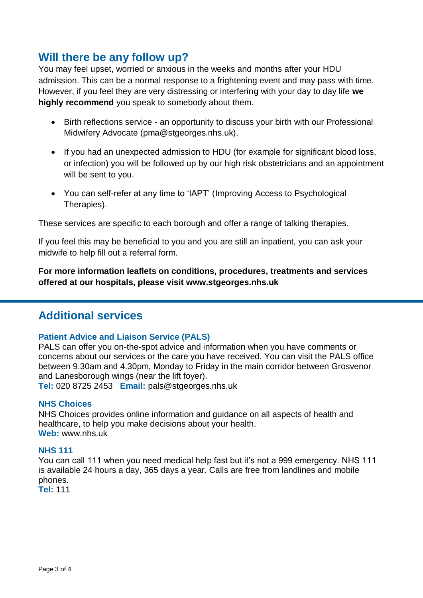## **Will there be any follow up?**

You may feel upset, worried or anxious in the weeks and months after your HDU admission. This can be a normal response to a frightening event and may pass with time. However, if you feel they are very distressing or interfering with your day to day life **we highly recommend** you speak to somebody about them.

- Birth reflections service an opportunity to discuss your birth with our Professional Midwifery Advocate (pma@stgeorges.nhs.uk).
- If you had an unexpected admission to HDU (for example for significant blood loss, or infection) you will be followed up by our high risk obstetricians and an appointment will be sent to you.
- You can self-refer at any time to 'IAPT' (Improving Access to Psychological Therapies).

These services are specific to each borough and offer a range of talking therapies.

If you feel this may be beneficial to you and you are still an inpatient, you can ask your midwife to help fill out a referral form.

**For more information leaflets on conditions, procedures, treatments and services offered at our hospitals, please visit www.stgeorges.nhs.uk**

#### **Additional services**

#### **Patient Advice and Liaison Service (PALS)**

PALS can offer you on-the-spot advice and information when you have comments or concerns about our services or the care you have received. You can visit the PALS office between 9.30am and 4.30pm, Monday to Friday in the main corridor between Grosvenor and Lanesborough wings (near the lift foyer).

**Tel:** 020 8725 2453 **Email:** pals@stgeorges.nhs.uk

#### **NHS Choices**

NHS Choices provides online information and guidance on all aspects of health and healthcare, to help you make decisions about your health. **Web:** www.nhs.uk

#### **NHS 111**

You can call 111 when you need medical help fast but it's not a 999 emergency. NHS 111 is available 24 hours a day, 365 days a year. Calls are free from landlines and mobile phones.

**Tel:** 111